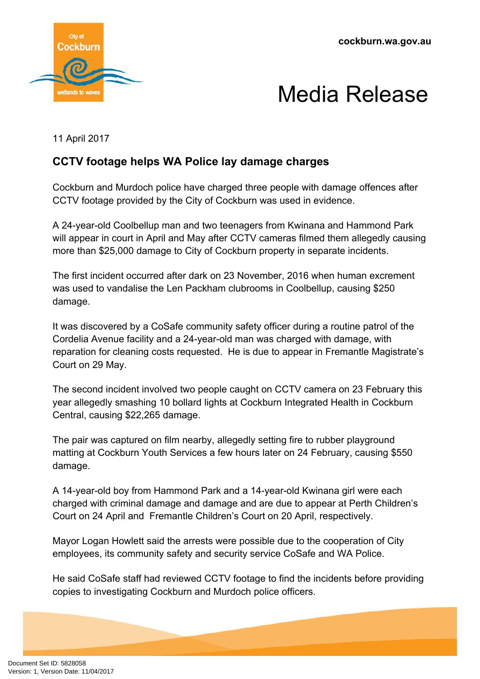**cockburn.wa.gov.au**





11 April 2017

## **CCTV footage helps WA Police lay damage charges**

Cockburn and Murdoch police have charged three people with damage offences after CCTV footage provided by the City of Cockburn was used in evidence.

A 24-year-old Coolbellup man and two teenagers from Kwinana and Hammond Park will appear in court in April and May after CCTV cameras filmed them allegedly causing more than \$25,000 damage to City of Cockburn property in separate incidents.

The first incident occurred after dark on 23 November, 2016 when human excrement was used to vandalise the Len Packham clubrooms in Coolbellup, causing \$250 damage.

It was discovered by a CoSafe community safety officer during a routine patrol of the Cordelia Avenue facility and a 24-year-old man was charged with damage, with reparation for cleaning costs requested. He is due to appear in Fremantle Magistrate's Court on 29 May.

The second incident involved two people caught on CCTV camera on 23 February this year allegedly smashing 10 bollard lights at Cockburn Integrated Health in Cockburn Central, causing \$22,265 damage.

The pair was captured on film nearby, allegedly setting fire to rubber playground matting at Cockburn Youth Services a few hours later on 24 February, causing \$550 damage.

A 14-year-old boy from Hammond Park and a 14-year-old Kwinana girl were each charged with criminal damage and damage and are due to appear at Perth Children's Court on 24 April and Fremantle Children's Court on 20 April, respectively.

Mayor Logan Howlett said the arrests were possible due to the cooperation of City employees, its community safety and security service CoSafe and WA Police.

He said CoSafe staff had reviewed CCTV footage to find the incidents before providing copies to investigating Cockburn and Murdoch police officers.

Document Set ID: 5828058<br>Version: 1, Version Date: 11/04/2017